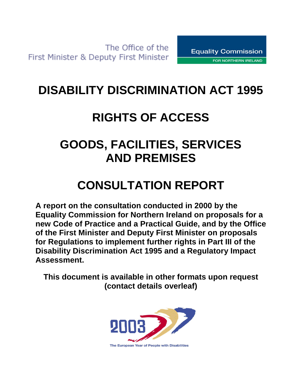## **DISABILITY DISCRIMINATION ACT 1995**

# **RIGHTS OF ACCESS**

## **GOODS, FACILITIES, SERVICES AND PREMISES**

## **CONSULTATION REPORT**

**A report on the consultation conducted in 2000 by the Equality Commission for Northern Ireland on proposals for a new Code of Practice and a Practical Guide, and by the Office of the First Minister and Deputy First Minister on proposals for Regulations to implement further rights in Part III of the Disability Discrimination Act 1995 and a Regulatory Impact Assessment.**

**This document is available in other formats upon request (contact details overleaf)**

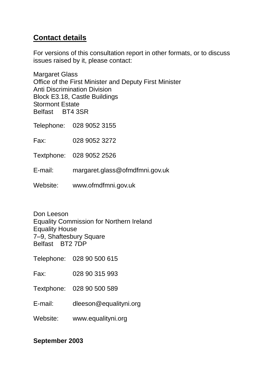#### **Contact details**

For versions of this consultation report in other formats, or to discuss issues raised by it, please contact:

Margaret Glass Office of the First Minister and Deputy First Minister Anti Discrimination Division Block E3.18, Castle Buildings Stormont Estate Belfast BT4 3SR

Telephone: 028 9052 3155

Fax: 028 9052 3272

Textphone: 028 9052 2526

E-mail: margaret.glass@ofmdfmni.gov.uk

Website: www.ofmdfmni.gov.uk

Don Leeson Equality Commission for Northern Ireland Equality House 7–9, Shaftesbury Square Belfast BT2 7DP

Telephone: 028 90 500 615

Fax: 028 90 315 993

Textphone: 028 90 500 589

E-mail: [dleeson@equalityni.org](mailto:dleeson@equalityni.org)

Website: www.equalityni.org

#### **September 2003**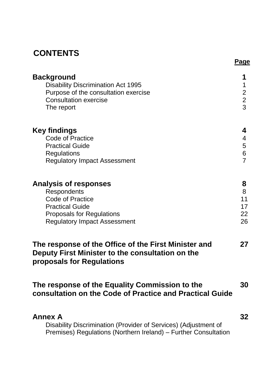## **CONTENTS**

|                                                                                                                                                                                    | <b>Page</b>                        |
|------------------------------------------------------------------------------------------------------------------------------------------------------------------------------------|------------------------------------|
| <b>Background</b><br><b>Disability Discrimination Act 1995</b><br>Purpose of the consultation exercise<br><b>Consultation exercise</b><br>The report                               | 1<br>$\frac{2}{3}$                 |
| <b>Key findings</b><br><b>Code of Practice</b><br><b>Practical Guide</b><br><b>Regulations</b><br><b>Regulatory Impact Assessment</b>                                              | 4<br>4<br>5<br>6<br>$\overline{7}$ |
| <b>Analysis of responses</b><br><b>Respondents</b><br><b>Code of Practice</b><br><b>Practical Guide</b><br><b>Proposals for Regulations</b><br><b>Regulatory Impact Assessment</b> | 8<br>8<br>11<br>17<br>22<br>26     |
| The response of the Office of the First Minister and<br>Deputy First Minister to the consultation on the<br>proposals for Regulations                                              | 27                                 |
| The response of the Equality Commission to the<br>consultation on the Code of Practice and Practical Guide                                                                         | 30                                 |
| <b>Annex A</b><br>Disability Discrimination (Provider of Services) (Adjustment of<br>Premises) Regulations (Northern Ireland) – Further Consultation                               | 32                                 |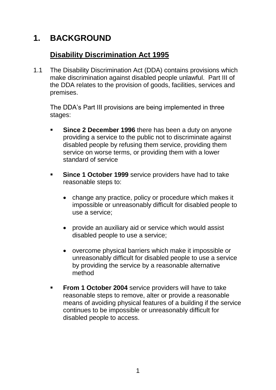## **1. BACKGROUND**

#### **Disability Discrimination Act 1995**

1.1 The Disability Discrimination Act (DDA) contains provisions which make discrimination against disabled people unlawful. Part III of the DDA relates to the provision of goods, facilities, services and premises.

The DDA's Part III provisions are being implemented in three stages:

- **Since 2 December 1996** there has been a duty on anyone providing a service to the public not to discriminate against disabled people by refusing them service, providing them service on worse terms, or providing them with a lower standard of service
- **Since 1 October 1999** service providers have had to take reasonable steps to:
	- change any practice, policy or procedure which makes it impossible or unreasonably difficult for disabled people to use a service;
	- provide an auxiliary aid or service which would assist disabled people to use a service;
	- overcome physical barriers which make it impossible or unreasonably difficult for disabled people to use a service by providing the service by a reasonable alternative method
- **From 1 October 2004** service providers will have to take reasonable steps to remove, alter or provide a reasonable means of avoiding physical features of a building if the service continues to be impossible or unreasonably difficult for disabled people to access.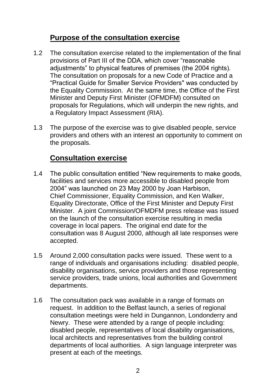#### **Purpose of the consultation exercise**

- 1.2 The consultation exercise related to the implementation of the final provisions of Part III of the DDA, which cover "reasonable adjustments" to physical features of premises (the 2004 rights). The consultation on proposals for a new Code of Practice and a "Practical Guide for Smaller Service Providers" was conducted by the Equality Commission. At the same time, the Office of the First Minister and Deputy First Minister (OFMDFM) consulted on proposals for Regulations, which will underpin the new rights, and a Regulatory Impact Assessment (RIA).
- 1.3 The purpose of the exercise was to give disabled people, service providers and others with an interest an opportunity to comment on the proposals.

#### **Consultation exercise**

- 1.4 The public consultation entitled "New requirements to make goods, facilities and services more accessible to disabled people from 2004" was launched on 23 May 2000 by Joan Harbison, Chief Commissioner, Equality Commission, and Ken Walker, Equality Directorate, Office of the First Minister and Deputy First Minister. A joint Commission/OFMDFM press release was issued on the launch of the consultation exercise resulting in media coverage in local papers. The original end date for the consultation was 8 August 2000, although all late responses were accepted.
- 1.5 Around 2,000 consultation packs were issued. These went to a range of individuals and organisations including: disabled people, disability organisations, service providers and those representing service providers, trade unions, local authorities and Government departments.
- 1.6 The consultation pack was available in a range of formats on request. In addition to the Belfast launch, a series of regional consultation meetings were held in Dungannon, Londonderry and Newry. These were attended by a range of people including: disabled people, representatives of local disability organisations, local architects and representatives from the building control departments of local authorities. A sign language interpreter was present at each of the meetings.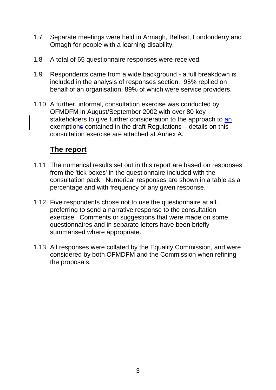- 1.7 Separate meetings were held in Armagh, Belfast, Londonderry and Omagh for people with a learning disability.
- 1.8 A total of 65 questionnaire responses were received.
- 1.9 Respondents came from a wide background a full breakdown is included in the analysis of responses section. 95% replied on behalf of an organisation, 89% of which were service providers.
- 1.10 A further, informal, consultation exercise was conducted by OFMDFM in August/September 2002 with over 80 key stakeholders to give further consideration to the approach to an exemptions contained in the draft Regulations – details on this consultation exercise are attached at Annex A.

#### **The report**

- 1.11 The numerical results set out in this report are based on responses from the 'tick boxes' in the questionnaire included with the consultation pack. Numerical responses are shown in a table as a percentage and with frequency of any given response.
- 1.12 Five respondents chose not to use the questionnaire at all, preferring to send a narrative response to the consultation exercise. Comments or suggestions that were made on some questionnaires and in separate letters have been briefly summarised where appropriate.
- 1.13 All responses were collated by the Equality Commission, and were considered by both OFMDFM and the Commission when refining the proposals.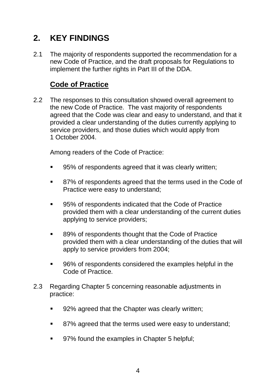## **2. KEY FINDINGS**

2.1 The majority of respondents supported the recommendation for a new Code of Practice, and the draft proposals for Regulations to implement the further rights in Part III of the DDA.

#### **Code of Practice**

2.2 The responses to this consultation showed overall agreement to the new Code of Practice. The vast majority of respondents agreed that the Code was clear and easy to understand, and that it provided a clear understanding of the duties currently applying to service providers, and those duties which would apply from 1 October 2004.

Among readers of the Code of Practice:

- 95% of respondents agreed that it was clearly written;
- 87% of respondents agreed that the terms used in the Code of Practice were easy to understand;
- 95% of respondents indicated that the Code of Practice provided them with a clear understanding of the current duties applying to service providers;
- 89% of respondents thought that the Code of Practice provided them with a clear understanding of the duties that will apply to service providers from 2004;
- 96% of respondents considered the examples helpful in the Code of Practice.
- 2.3 Regarding Chapter 5 concerning reasonable adjustments in practice:
	- 92% agreed that the Chapter was clearly written;
	- 87% agreed that the terms used were easy to understand;
	- 97% found the examples in Chapter 5 helpful;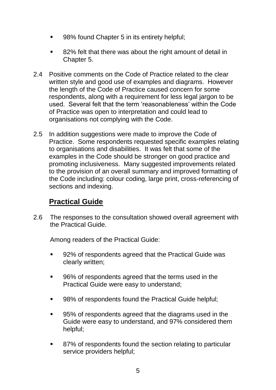- 98% found Chapter 5 in its entirety helpful;
- 82% felt that there was about the right amount of detail in Chapter 5.
- 2.4 Positive comments on the Code of Practice related to the clear written style and good use of examples and diagrams. However the length of the Code of Practice caused concern for some respondents, along with a requirement for less legal jargon to be used. Several felt that the term 'reasonableness' within the Code of Practice was open to interpretation and could lead to organisations not complying with the Code.
- 2.5 In addition suggestions were made to improve the Code of Practice. Some respondents requested specific examples relating to organisations and disabilities. It was felt that some of the examples in the Code should be stronger on good practice and promoting inclusiveness. Many suggested improvements related to the provision of an overall summary and improved formatting of the Code including: colour coding, large print, cross-referencing of sections and indexing.

#### **Practical Guide**

2.6 The responses to the consultation showed overall agreement with the Practical Guide.

Among readers of the Practical Guide:

- 92% of respondents agreed that the Practical Guide was clearly written;
- 96% of respondents agreed that the terms used in the Practical Guide were easy to understand;
- 98% of respondents found the Practical Guide helpful;
- 95% of respondents agreed that the diagrams used in the Guide were easy to understand, and 97% considered them helpful;
- 87% of respondents found the section relating to particular service providers helpful;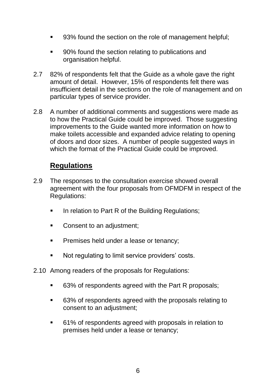- 93% found the section on the role of management helpful;
- 90% found the section relating to publications and organisation helpful.
- 2.7 82% of respondents felt that the Guide as a whole gave the right amount of detail. However, 15% of respondents felt there was insufficient detail in the sections on the role of management and on particular types of service provider.
- 2.8 A number of additional comments and suggestions were made as to how the Practical Guide could be improved. Those suggesting improvements to the Guide wanted more information on how to make toilets accessible and expanded advice relating to opening of doors and door sizes. A number of people suggested ways in which the format of the Practical Guide could be improved.

#### **Regulations**

- 2.9 The responses to the consultation exercise showed overall agreement with the four proposals from OFMDFM in respect of the Regulations:
	- In relation to Part R of the Building Regulations;
	- Consent to an adjustment;
	- Premises held under a lease or tenancy;
	- Not regulating to limit service providers' costs.
- 2.10 Among readers of the proposals for Regulations:
	- 63% of respondents agreed with the Part R proposals;
	- 63% of respondents agreed with the proposals relating to consent to an adjustment;
	- 61% of respondents agreed with proposals in relation to premises held under a lease or tenancy;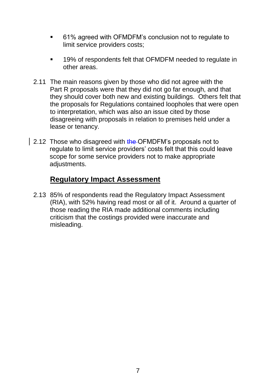- 61% agreed with OFMDFM's conclusion not to regulate to limit service providers costs;
- **19% of respondents felt that OFMDFM needed to regulate in** other areas.
- 2.11 The main reasons given by those who did not agree with the Part R proposals were that they did not go far enough, and that they should cover both new and existing buildings. Others felt that the proposals for Regulations contained loopholes that were open to interpretation, which was also an issue cited by those disagreeing with proposals in relation to premises held under a lease or tenancy.
- 2.12 Those who disagreed with the OFMDFM's proposals not to regulate to limit service providers' costs felt that this could leave scope for some service providers not to make appropriate adjustments.

#### **Regulatory Impact Assessment**

2.13 85% of respondents read the Regulatory Impact Assessment (RIA), with 52% having read most or all of it. Around a quarter of those reading the RIA made additional comments including criticism that the costings provided were inaccurate and misleading.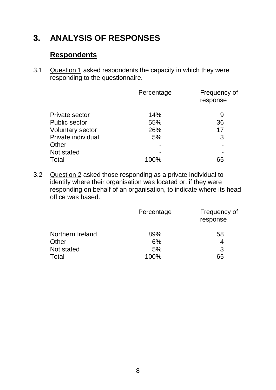## **3. ANALYSIS OF RESPONSES**

#### **Respondents**

3.1 Question 1 asked respondents the capacity in which they were responding to the questionnaire.

|                         | Percentage | Frequency of<br>response |
|-------------------------|------------|--------------------------|
| Private sector          | 14%        | 9                        |
| <b>Public sector</b>    | 55%        | 36                       |
| <b>Voluntary sector</b> | 26%        | 17                       |
| Private individual      | 5%         | 3                        |
| Other                   |            |                          |
| Not stated              |            |                          |
| Total                   | 100%       | 65                       |

3.2 Question 2 asked those responding as a private individual to identify where their organisation was located or, if they were responding on behalf of an organisation, to indicate where its head office was based.

|                  | Percentage | Frequency of<br>response |
|------------------|------------|--------------------------|
| Northern Ireland | 89%        | 58                       |
| Other            | 6%         |                          |
| Not stated       | 5%         | 3                        |
| Total            | 100%       | 65                       |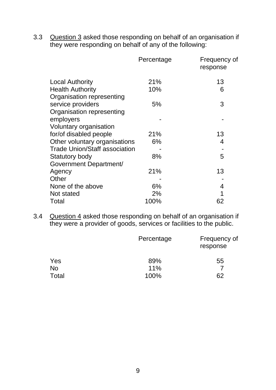3.3 Question 3 asked those responding on behalf of an organisation if they were responding on behalf of any of the following:

|                                      | Percentage | Frequency of<br>response |
|--------------------------------------|------------|--------------------------|
| <b>Local Authority</b>               | 21%        | 13                       |
| <b>Health Authority</b>              | 10%        | 6                        |
| Organisation representing            |            |                          |
| service providers                    | 5%         | 3                        |
| Organisation representing            |            |                          |
| employers                            |            |                          |
| Voluntary organisation               |            |                          |
| for/of disabled people               | 21%        | 13                       |
| Other voluntary organisations        | 6%         | 4                        |
| <b>Trade Union/Staff association</b> |            |                          |
| Statutory body                       | 8%         | 5                        |
| Government Department/               |            |                          |
| Agency                               | 21%        | 13                       |
| Other                                |            |                          |
| None of the above                    | 6%         | 4                        |
| Not stated                           | 2%         |                          |
| Total                                | 100%       | 62                       |

3.4 Question 4 asked those responding on behalf of an organisation if they were a provider of goods, services or facilities to the public.

|           | Percentage | Frequency of<br>response |
|-----------|------------|--------------------------|
| Yes       | 89%        | 55                       |
| <b>No</b> | 11%        |                          |
| Total     | 100%       | 62                       |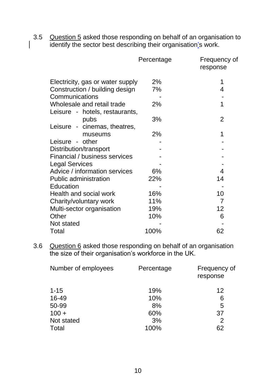3.5 Question 5 asked those responding on behalf of an organisation to identify the sector best describing their organisation's work.

|                                  | Percentage | Frequency of<br>response |
|----------------------------------|------------|--------------------------|
| Electricity, gas or water supply | 2%         |                          |
| Construction / building design   | 7%         | 4                        |
| Communications                   |            |                          |
| Wholesale and retail trade       | 2%         | 1                        |
| Leisure - hotels, restaurants,   |            |                          |
| pubs                             | 3%         | $\overline{2}$           |
| Leisure - cinemas, theatres,     |            |                          |
| museums                          | 2%         |                          |
| Leisure - other                  |            |                          |
| Distribution/transport           |            |                          |
| Financial / business services    |            |                          |
| <b>Legal Services</b>            |            |                          |
| Advice / information services    | 6%         | 4                        |
| <b>Public administration</b>     | 22%        | 14                       |
| Education                        |            |                          |
| Health and social work           | 16%        | 10                       |
| Charity/voluntary work           | 11%        | 7                        |
| Multi-sector organisation        | 19%        | 12                       |
| Other                            | 10%        | 6                        |
| Not stated                       |            |                          |
| Total                            | 100%       | 62                       |

3.6 Question 6 asked those responding on behalf of an organisation the size of their organisation's workforce in the UK.

| Number of employees | Percentage | Frequency of<br>response |
|---------------------|------------|--------------------------|
| $1 - 15$            | 19%        | 12                       |
| 16-49               | 10%        | 6                        |
| 50-99               | 8%         | 5                        |
| $100 +$             | 60%        | 37                       |
| Not stated          | 3%         | 2                        |
| Total               | 100%       | 62                       |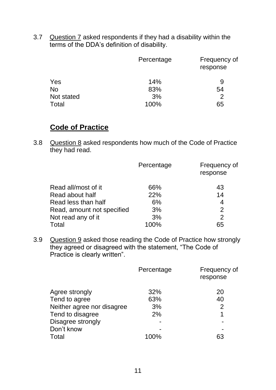3.7 Question 7 asked respondents if they had a disability within the terms of the DDA's definition of disability.

|            | Percentage | Frequency of<br>response |
|------------|------------|--------------------------|
| Yes        | 14%        | 9                        |
| <b>No</b>  | 83%        | 54                       |
| Not stated | 3%         | 2                        |
| Total      | 100%       | 65                       |

#### **Code of Practice**

3.8 Question 8 asked respondents how much of the Code of Practice they had read.

|                            | Percentage | Frequency of<br>response |
|----------------------------|------------|--------------------------|
| Read all/most of it        | 66%        | 43                       |
| Read about half            | 22%        | 14                       |
| Read less than half        | 6%         | 4                        |
| Read, amount not specified | 3%         | $\mathcal{P}$            |
| Not read any of it         | 3%         | $\overline{2}$           |
| Total                      | $10\%$     | 65                       |

3.9 Question 9 asked those reading the Code of Practice how strongly they agreed or disagreed with the statement, "The Code of Practice is clearly written".

|                            | Percentage | Frequency of<br>response |
|----------------------------|------------|--------------------------|
| Agree strongly             | 32%        | 20                       |
| Tend to agree              | 63%        | 40                       |
| Neither agree nor disagree | 3%         | $\mathcal{P}$            |
| Tend to disagree           | 2%         | 1                        |
| Disagree strongly          |            |                          |
| Don't know                 |            |                          |
| Total                      | 100%       | 63                       |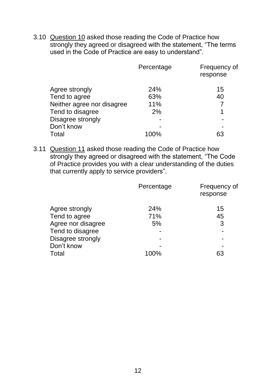3.10 Question 10 asked those reading the Code of Practice how strongly they agreed or disagreed with the statement, "The terms used in the Code of Practice are easy to understand".

|                            | Percentage | Frequency of<br>response |
|----------------------------|------------|--------------------------|
| Agree strongly             | 24%        | 15                       |
| Tend to agree              | 63%        | 40                       |
| Neither agree nor disagree | 11%        |                          |
| Tend to disagree           | 2%         |                          |
| Disagree strongly          |            |                          |
| Don't know                 |            |                          |
| Total                      |            |                          |

3.11 Question 11 asked those reading the Code of Practice how strongly they agreed or disagreed with the statement, "The Code of Practice provides you with a clear understanding of the duties that currently apply to service providers".

|                    | Percentage | Frequency of<br>response |
|--------------------|------------|--------------------------|
| Agree strongly     | 24%        | 15                       |
| Tend to agree      | 71%        | 45                       |
| Agree nor disagree | 5%         | 3                        |
| Tend to disagree   |            |                          |
| Disagree strongly  |            |                          |
| Don't know         |            |                          |
| Total              | 100%       | 63                       |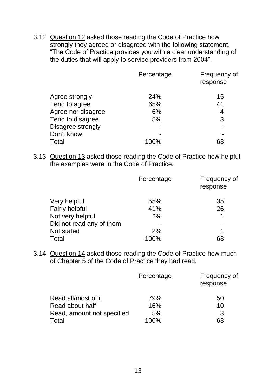3.12 Question 12 asked those reading the Code of Practice how strongly they agreed or disagreed with the following statement, "The Code of Practice provides you with a clear understanding of the duties that will apply to service providers from 2004".

|                    | Percentage | Frequency of<br>response |
|--------------------|------------|--------------------------|
| Agree strongly     | 24%        | 15                       |
| Tend to agree      | 65%        | 41                       |
| Agree nor disagree | 6%         | 4                        |
| Tend to disagree   | 5%         | 3                        |
| Disagree strongly  |            |                          |
| Don't know         |            |                          |
| Total              | 100%       | 63                       |

3.13 Question 13 asked those reading the Code of Practice how helpful the examples were in the Code of Practice.

|                          | Percentage | Frequency of<br>response |
|--------------------------|------------|--------------------------|
| Very helpful             | 55%        | 35                       |
| <b>Fairly helpful</b>    | 41%        | 26                       |
| Not very helpful         | 2%         |                          |
| Did not read any of them |            | -                        |
| Not stated               | 2%         | 1                        |
| Total                    | 100%       | 63                       |

3.14 Question 14 asked those reading the Code of Practice how much of Chapter 5 of the Code of Practice they had read.

|                            | Percentage | Frequency of<br>response |
|----------------------------|------------|--------------------------|
| Read all/most of it        | 79%        | 50                       |
| Read about half            | 16%        | 10                       |
| Read, amount not specified | 5%         | 3                        |
| Total                      | 100%       | 63                       |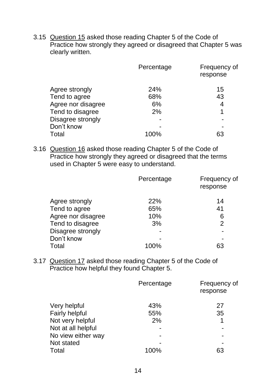3.15 Question 15 asked those reading Chapter 5 of the Code of Practice how strongly they agreed or disagreed that Chapter 5 was clearly written.

|                    | Percentage | Frequency of<br>response |
|--------------------|------------|--------------------------|
| Agree strongly     | <b>24%</b> | 15                       |
| Tend to agree      | 68%        | 43                       |
| Agree nor disagree | 6%         | 4                        |
| Tend to disagree   | 2%         |                          |
| Disagree strongly  |            |                          |
| Don't know         |            |                          |
| Total              | 100%       | 63                       |

3.16 Question 16 asked those reading Chapter 5 of the Code of Practice how strongly they agreed or disagreed that the terms used in Chapter 5 were easy to understand.

|                    | Percentage | Frequency of<br>response |
|--------------------|------------|--------------------------|
| Agree strongly     | 22%        | 14                       |
| Tend to agree      | 65%        | 41                       |
| Agree nor disagree | 10%        | 6                        |
| Tend to disagree   | 3%         | 2                        |
| Disagree strongly  |            |                          |
| Don't know         |            | $\blacksquare$           |
| Total              | 100%       | 63                       |

3.17 Question 17 asked those reading Chapter 5 of the Code of Practice how helpful they found Chapter 5.

|                       | Percentage | Frequency of<br>response |
|-----------------------|------------|--------------------------|
| Very helpful          | 43%        | 27                       |
| <b>Fairly helpful</b> | 55%        | 35                       |
| Not very helpful      | 2%         | 1                        |
| Not at all helpful    |            |                          |
| No view either way    |            |                          |
| Not stated            |            |                          |
| Total                 | 100%       | 63                       |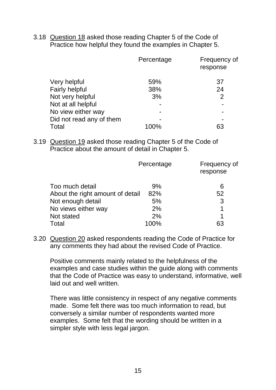3.18 Question 18 asked those reading Chapter 5 of the Code of Practice how helpful they found the examples in Chapter 5.

|                          | Percentage | Frequency of<br>response |
|--------------------------|------------|--------------------------|
| Very helpful             | 59%        | 37                       |
| <b>Fairly helpful</b>    | 38%        | 24                       |
| Not very helpful         | 3%         | $\overline{2}$           |
| Not at all helpful       |            | ۰                        |
| No view either way       |            | -                        |
| Did not read any of them |            |                          |
| Total                    |            |                          |

3.19 Question 19 asked those reading Chapter 5 of the Code of Practice about the amount of detail in Chapter 5.

|                                  | Percentage | Frequency of<br>response |
|----------------------------------|------------|--------------------------|
| Too much detail                  | 9%         | 6                        |
| About the right amount of detail | 82%        | 52                       |
| Not enough detail                | 5%         | 3                        |
| No views either way              | 2%         | 1                        |
| Not stated                       | 2%         | 1                        |
| Total                            | ነበ%        |                          |

3.20 Question 20 asked respondents reading the Code of Practice for any comments they had about the revised Code of Practice.

Positive comments mainly related to the helpfulness of the examples and case studies within the guide along with comments that the Code of Practice was easy to understand, informative, well laid out and well written.

There was little consistency in respect of any negative comments made. Some felt there was too much information to read, but conversely a similar number of respondents wanted more examples. Some felt that the wording should be written in a simpler style with less legal jargon.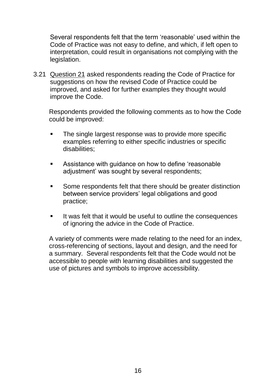Several respondents felt that the term 'reasonable' used within the Code of Practice was not easy to define, and which, if left open to interpretation, could result in organisations not complying with the legislation.

3.21 Question 21 asked respondents reading the Code of Practice for suggestions on how the revised Code of Practice could be improved, and asked for further examples they thought would improve the Code.

Respondents provided the following comments as to how the Code could be improved:

- The single largest response was to provide more specific examples referring to either specific industries or specific disabilities;
- Assistance with guidance on how to define 'reasonable adjustment' was sought by several respondents;
- Some respondents felt that there should be greater distinction between service providers' legal obligations and good practice;
- It was felt that it would be useful to outline the consequences of ignoring the advice in the Code of Practice.

A variety of comments were made relating to the need for an index, cross-referencing of sections, layout and design, and the need for a summary. Several respondents felt that the Code would not be accessible to people with learning disabilities and suggested the use of pictures and symbols to improve accessibility.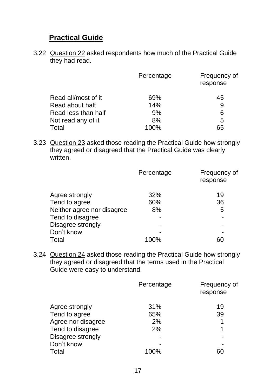#### **Practical Guide**

3.22 Question 22 asked respondents how much of the Practical Guide they had read.

|                     | Percentage | Frequency of<br>response |
|---------------------|------------|--------------------------|
| Read all/most of it | 69%        | 45                       |
| Read about half     | 14%        | 9                        |
| Read less than half | 9%         | 6                        |
| Not read any of it  | 8%         | 5                        |
| Total               | 100%       | 65                       |

3.23 Question 23 asked those reading the Practical Guide how strongly they agreed or disagreed that the Practical Guide was clearly written.

|                            | Percentage | Frequency of<br>response |
|----------------------------|------------|--------------------------|
| Agree strongly             | 32%        | 19                       |
| Tend to agree              | 60%        | 36                       |
| Neither agree nor disagree | 8%         | 5                        |
| Tend to disagree           |            | -                        |
| Disagree strongly          |            | -                        |
| Don't know                 |            |                          |
| Total                      | 100%       |                          |

3.24 Question 24 asked those reading the Practical Guide how strongly they agreed or disagreed that the terms used in the Practical Guide were easy to understand.

|                    | Percentage | Frequency of<br>response |
|--------------------|------------|--------------------------|
| Agree strongly     | 31%        | 19                       |
| Tend to agree      | 65%        | 39                       |
| Agree nor disagree | 2%         | 1                        |
| Tend to disagree   | 2%         | 1                        |
| Disagree strongly  |            |                          |
| Don't know         |            |                          |
| Total              | 100%       | 60                       |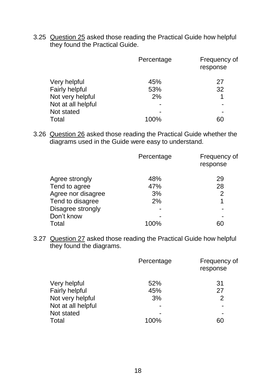3.25 Question 25 asked those reading the Practical Guide how helpful they found the Practical Guide.

|                       | Percentage | Frequency of<br>response |
|-----------------------|------------|--------------------------|
| Very helpful          | 45%        | 27                       |
| <b>Fairly helpful</b> | 53%        | 32                       |
| Not very helpful      | 2%         | 1                        |
| Not at all helpful    |            |                          |
| Not stated            |            |                          |
| Total                 | 100%       |                          |

3.26 Question 26 asked those reading the Practical Guide whether the diagrams used in the Guide were easy to understand.

|                    | Percentage | Frequency of<br>response |
|--------------------|------------|--------------------------|
| Agree strongly     | 48%        | 29                       |
| Tend to agree      | 47%        | 28                       |
| Agree nor disagree | 3%         | $\overline{2}$           |
| Tend to disagree   | 2%         | 1                        |
| Disagree strongly  |            |                          |
| Don't know         |            |                          |
| Total              | 100%       |                          |

3.27 Question 27 asked those reading the Practical Guide how helpful they found the diagrams.

|                       | Percentage | Frequency of<br>response |
|-----------------------|------------|--------------------------|
| Very helpful          | 52%        | 31                       |
| <b>Fairly helpful</b> | 45%        | 27                       |
| Not very helpful      | 3%         | $\overline{2}$           |
| Not at all helpful    |            |                          |
| Not stated            |            |                          |
| Total                 | 100%       | 60                       |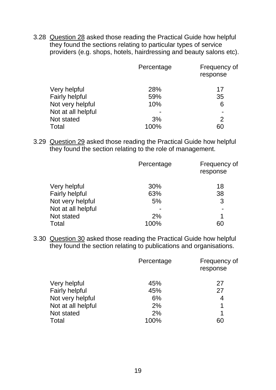3.28 Question 28 asked those reading the Practical Guide how helpful they found the sections relating to particular types of service providers (e.g. shops, hotels, hairdressing and beauty salons etc).

|                       | Percentage | Frequency of<br>response |
|-----------------------|------------|--------------------------|
| Very helpful          | 28%        | 17                       |
| <b>Fairly helpful</b> | 59%        | 35                       |
| Not very helpful      | 10%        | 6                        |
| Not at all helpful    |            | $\overline{\phantom{0}}$ |
| Not stated            | 3%         | $\mathcal{P}$            |
| Total                 | 100%       | 60                       |

3.29 Question 29 asked those reading the Practical Guide how helpful they found the section relating to the role of management.

|                       | Percentage | Frequency of<br>response |
|-----------------------|------------|--------------------------|
| Very helpful          | 30%        | 18                       |
| <b>Fairly helpful</b> | 63%        | 38                       |
| Not very helpful      | 5%         | 3                        |
| Not at all helpful    |            | $\blacksquare$           |
| Not stated            | 2%         | 1                        |
| Total                 | 100%       | 60                       |

3.30 Question 30 asked those reading the Practical Guide how helpful they found the section relating to publications and organisations.

|                       | Percentage | Frequency of<br>response |
|-----------------------|------------|--------------------------|
| Very helpful          | 45%        | 27                       |
| <b>Fairly helpful</b> | 45%        | 27                       |
| Not very helpful      | 6%         | 4                        |
| Not at all helpful    | 2%         | 1                        |
| Not stated            | 2%         | 1                        |
| Total                 | 100%       | 60                       |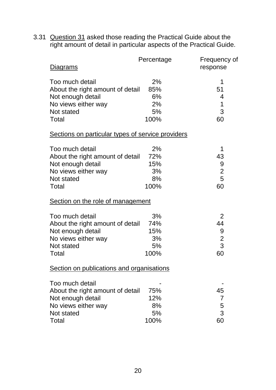3.31 Question 31 asked those reading the Practical Guide about the right amount of detail in particular aspects of the Practical Guide.

| Diagrams                                                                                                               | Percentage                           | Frequency of<br>response                  |
|------------------------------------------------------------------------------------------------------------------------|--------------------------------------|-------------------------------------------|
| Too much detail<br>About the right amount of detail<br>Not enough detail<br>No views either way<br>Not stated<br>Total | 2%<br>85%<br>6%<br>2%<br>5%<br>100%  | 1<br>51<br>4<br>1<br>3<br>60              |
| Sections on particular types of service providers                                                                      |                                      |                                           |
| Too much detail<br>About the right amount of detail<br>Not enough detail<br>No views either way<br>Not stated<br>Total | 2%<br>72%<br>15%<br>3%<br>8%<br>100% | 1<br>43<br>9<br>$\overline{c}$<br>5<br>60 |
| Section on the role of management                                                                                      |                                      |                                           |
| Too much detail<br>About the right amount of detail<br>Not enough detail<br>No views either way<br>Not stated<br>Total | 3%<br>74%<br>15%<br>3%<br>5%<br>100% | 2<br>44<br>9<br>$\overline{c}$<br>3<br>60 |
| Section on publications and organisations                                                                              |                                      |                                           |
| Too much detail<br>About the right amount of detail<br>Not enough detail<br>No views either way<br>Not stated<br>Total | 75%<br>12%<br>8%<br>5%<br>100%       | 45<br>7<br>5<br>3<br>60                   |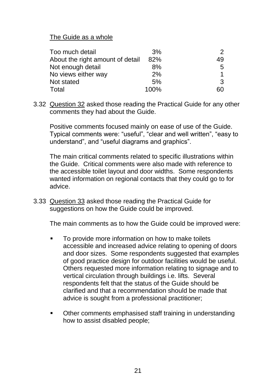The Guide as a whole

| Too much detail                  | 3%   |    |
|----------------------------------|------|----|
| About the right amount of detail | 82%  | 49 |
| Not enough detail                | 8%   | 5  |
| No views either way              | 2%   |    |
| Not stated                       | 5%   | 3  |
| Total                            | 100% | 60 |

3.32 Question 32 asked those reading the Practical Guide for any other comments they had about the Guide.

Positive comments focused mainly on ease of use of the Guide. Typical comments were: "useful", "clear and well written", "easy to understand", and "useful diagrams and graphics".

The main critical comments related to specific illustrations within the Guide. Critical comments were also made with reference to the accessible toilet layout and door widths. Some respondents wanted information on regional contacts that they could go to for advice.

3.33 Question 33 asked those reading the Practical Guide for suggestions on how the Guide could be improved.

The main comments as to how the Guide could be improved were:

- To provide more information on how to make toilets accessible and increased advice relating to opening of doors and door sizes. Some respondents suggested that examples of good practice design for outdoor facilities would be useful. Others requested more information relating to signage and to vertical circulation through buildings i.e. lifts. Several respondents felt that the status of the Guide should be clarified and that a recommendation should be made that advice is sought from a professional practitioner;
- Other comments emphasised staff training in understanding how to assist disabled people;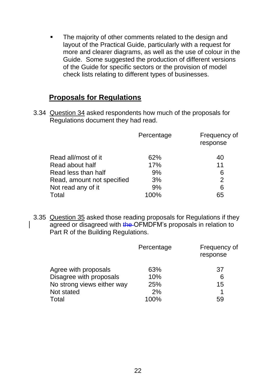• The majority of other comments related to the design and layout of the Practical Guide, particularly with a request for more and clearer diagrams, as well as the use of colour in the Guide. Some suggested the production of different versions of the Guide for specific sectors or the provision of model check lists relating to different types of businesses.

#### **Proposals for Regulations**

3.34 Question 34 asked respondents how much of the proposals for Regulations document they had read.

|                            | Percentage | Frequency of<br>response |
|----------------------------|------------|--------------------------|
| Read all/most of it        | 62%        | 40                       |
| Read about half            | 17%        | 11                       |
| Read less than half        | 9%         | 6                        |
| Read, amount not specified | 3%         | $\mathcal{P}$            |
| Not read any of it         | 9%         | 6                        |
| Total                      | 100%       | 65                       |

3.35 Question 35 asked those reading proposals for Regulations if they agreed or disagreed with the OFMDFM's proposals in relation to Part R of the Building Regulations.

|                            | Percentage | Frequency of<br>response |
|----------------------------|------------|--------------------------|
| Agree with proposals       | 63%        | 37                       |
| Disagree with proposals    | 10%        | 6                        |
| No strong views either way | 25%        | 15                       |
| Not stated                 | 2%         |                          |
| Total                      | 100%       | 59                       |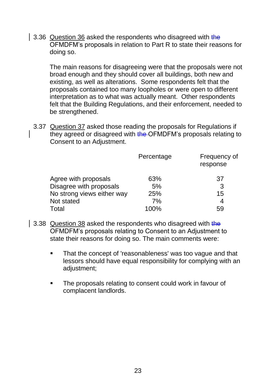3.36 Question 36 asked the respondents who disagreed with the OFMDFM's proposals in relation to Part R to state their reasons for doing so.

The main reasons for disagreeing were that the proposals were not broad enough and they should cover all buildings, both new and existing, as well as alterations. Some respondents felt that the proposals contained too many loopholes or were open to different interpretation as to what was actually meant. Other respondents felt that the Building Regulations, and their enforcement, needed to be strengthened.

3.37 Question 37 asked those reading the proposals for Regulations if they agreed or disagreed with the OFMDFM's proposals relating to Consent to an Adjustment.

|                            | Percentage | Frequency of<br>response |
|----------------------------|------------|--------------------------|
| Agree with proposals       | 63%        | 37                       |
| Disagree with proposals    | 5%         | 3                        |
| No strong views either way | 25%        | 15                       |
| Not stated                 | 7%         | 4                        |
| Total                      | 100%       | 59                       |

- 3.38 Question 38 asked the respondents who disagreed with the OFMDFM's proposals relating to Consent to an Adjustment to state their reasons for doing so. The main comments were:
	- That the concept of 'reasonableness' was too vague and that lessors should have equal responsibility for complying with an adjustment;
	- The proposals relating to consent could work in favour of complacent landlords.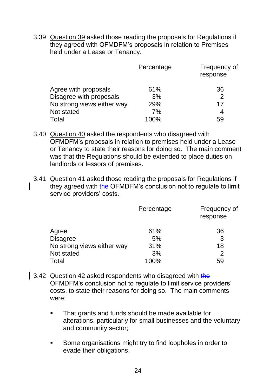3.39 Question 39 asked those reading the proposals for Regulations if they agreed with OFMDFM's proposals in relation to Premises held under a Lease or Tenancy.

|                            | Percentage | Frequency of<br>response |
|----------------------------|------------|--------------------------|
| Agree with proposals       | 61%        | 36                       |
| Disagree with proposals    | 3%         | $\mathcal{P}$            |
| No strong views either way | 29%        | 17                       |
| Not stated                 | 7%         | 4                        |
| Total                      | 100%       | 59                       |

- 3.40 Question 40 asked the respondents who disagreed with OFMDFM's proposals in relation to premises held under a Lease or Tenancy to state their reasons for doing so. The main comment was that the Regulations should be extended to place duties on landlords or lessors of premises.
- 3.41 Question 41 asked those reading the proposals for Regulations if they agreed with the OFMDFM's conclusion not to regulate to limit service providers' costs.

|                            | Percentage | Frequency of<br>response |
|----------------------------|------------|--------------------------|
| Agree                      | 61%        | 36                       |
| <b>Disagree</b>            | 5%         | 3                        |
| No strong views either way | 31%        | 18                       |
| Not stated                 | 3%         | $\mathcal{P}$            |
| <b>Total</b>               | 100%       | 59                       |

- 3.42 Question 42 asked respondents who disagreed with the OFMDFM's conclusion not to regulate to limit service providers' costs, to state their reasons for doing so. The main comments were:
	- **That grants and funds should be made available for** alterations, particularly for small businesses and the voluntary and community sector;
	- **Some organisations might try to find loopholes in order to** evade their obligations.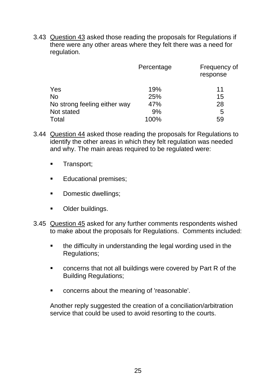3.43 Question 43 asked those reading the proposals for Regulations if there were any other areas where they felt there was a need for regulation.

|                              | Percentage | Frequency of<br>response |
|------------------------------|------------|--------------------------|
| Yes                          | 19%        | 11                       |
| <b>No</b>                    | 25%        | 15                       |
| No strong feeling either way | 47%        | 28                       |
| Not stated                   | 9%         | 5                        |
| Total                        | 100%       | 59                       |

- 3.44 Question 44 asked those reading the proposals for Regulations to identify the other areas in which they felt regulation was needed and why. The main areas required to be regulated were:
	- **Transport**;
	- **Educational premises;**
	- Domestic dwellings;
	- **-** Older buildings.
- 3.45 Question 45 asked for any further comments respondents wished to make about the proposals for Regulations. Comments included:
	- the difficulty in understanding the legal wording used in the Regulations;
	- concerns that not all buildings were covered by Part R of the Building Regulations;
	- concerns about the meaning of 'reasonable'.

Another reply suggested the creation of a conciliation/arbitration service that could be used to avoid resorting to the courts.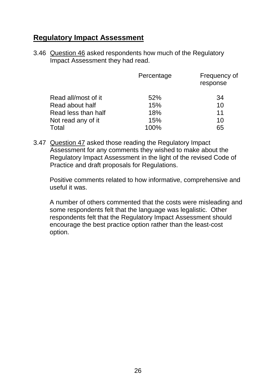#### **Regulatory Impact Assessment**

3.46 Question 46 asked respondents how much of the Regulatory Impact Assessment they had read.

|                     | Percentage | Frequency of<br>response |
|---------------------|------------|--------------------------|
| Read all/most of it | 52%        | 34                       |
| Read about half     | 15%        | 10                       |
| Read less than half | 18%        | 11                       |
| Not read any of it  | 15%        | 10                       |
| Total               | 100%       | 65                       |

3.47 Question 47 asked those reading the Regulatory Impact Assessment for any comments they wished to make about the Regulatory Impact Assessment in the light of the revised Code of Practice and draft proposals for Regulations.

Positive comments related to how informative, comprehensive and useful it was.

A number of others commented that the costs were misleading and some respondents felt that the language was legalistic. Other respondents felt that the Regulatory Impact Assessment should encourage the best practice option rather than the least-cost option.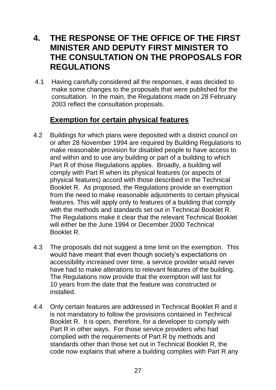### **4. THE RESPONSE OF THE OFFICE OF THE FIRST MINISTER AND DEPUTY FIRST MINISTER TO THE CONSULTATION ON THE PROPOSALS FOR REGULATIONS**

4.1 Having carefully considered all the responses, it was decided to make some changes to the proposals that were published for the consultation. In the main, the Regulations made on 28 February 2003 reflect the consultation proposals.

### **Exemption for certain physical features**

- 4.2 Buildings for which plans were deposited with a district council on or after 28 November 1994 are required by Building Regulations to make reasonable provision for disabled people to have access to and within and to use any building or part of a building to which Part R of those Regulations applies. Broadly, a building will comply with Part R when its physical features (or aspects of physical features) accord with those described in the Technical Booklet R. As proposed, the Regulations provide an exemption from the need to make reasonable adjustments to certain physical features. This will apply only to features of a building that comply with the methods and standards set out in Technical Booklet R. The Regulations make it clear that the relevant Technical Booklet will either be the June 1994 or December 2000 Technical Booklet R.
- 4.3 The proposals did not suggest a time limit on the exemption. This would have meant that even though society's expectations on accessibility increased over time, a service provider would never have had to make alterations to relevant features of the building. The Regulations now provide that the exemption will last for 10 years from the date that the feature was constructed or installed.
- 4.4 Only certain features are addressed in Technical Booklet R and it is not mandatory to follow the provisions contained in Technical Booklet R. It is open, therefore, for a developer to comply with Part R in other ways. For those service providers who had complied with the requirements of Part R by methods and standards other than those set out in Technical Booklet R, the code now explains that where a building complies with Part R any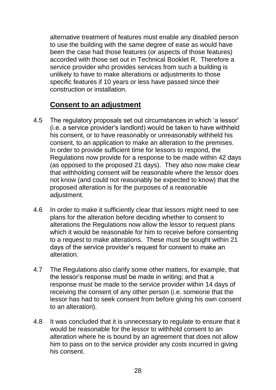alternative treatment of features must enable any disabled person to use the building with the same degree of ease as would have been the case had those features (or aspects of those features) accorded with those set out in Technical Booklet R. Therefore a service provider who provides services from such a building is unlikely to have to make alterations or adjustments to those specific features if 10 years or less have passed since their construction or installation.

#### **Consent to an adjustment**

- 4.5 The regulatory proposals set out circumstances in which 'a lessor' (i.e. a service provider's landlord) would be taken to have withheld his consent, or to have reasonably or unreasonably withheld his consent, to an application to make an alteration to the premises. In order to provide sufficient time for lessors to respond, the Regulations now provide for a response to be made within 42 days (as opposed to the proposed 21 days). They also now make clear that withholding consent will be reasonable where the lessor does not know (and could not reasonably be expected to know) that the proposed alteration is for the purposes of a reasonable adjustment.
- 4.6 In order to make it sufficiently clear that lessors might need to see plans for the alteration before deciding whether to consent to alterations the Regulations now allow the lessor to request plans which it would be reasonable for him to receive before consenting to a request to make alterations. These must be sought within 21 days of the service provider's request for consent to make an alteration.
- 4.7 The Regulations also clarify some other matters, for example, that the lessor's response must be made in writing; and that a response must be made to the service provider within 14 days of receiving the consent of any other person (i.e. someone that the lessor has had to seek consent from before giving his own consent to an alteration).
- 4.8 It was concluded that it is unnecessary to regulate to ensure that it would be reasonable for the lessor to withhold consent to an alteration where he is bound by an agreement that does not allow him to pass on to the service provider any costs incurred in giving his consent.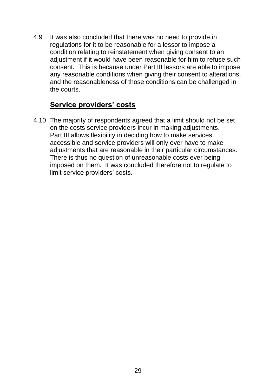4.9 It was also concluded that there was no need to provide in regulations for it to be reasonable for a lessor to impose a condition relating to reinstatement when giving consent to an adjustment if it would have been reasonable for him to refuse such consent. This is because under Part III lessors are able to impose any reasonable conditions when giving their consent to alterations, and the reasonableness of those conditions can be challenged in the courts.

#### **Service providers' costs**

4.10 The majority of respondents agreed that a limit should not be set on the costs service providers incur in making adjustments. Part III allows flexibility in deciding how to make services accessible and service providers will only ever have to make adjustments that are reasonable in their particular circumstances. There is thus no question of unreasonable costs ever being imposed on them. It was concluded therefore not to regulate to limit service providers' costs.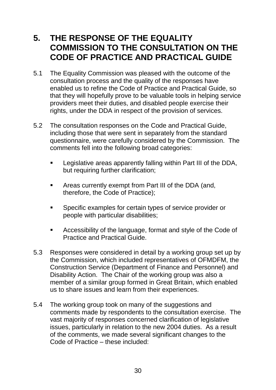### **5. THE RESPONSE OF THE EQUALITY COMMISSION TO THE CONSULTATION ON THE CODE OF PRACTICE AND PRACTICAL GUIDE**

- 5.1 The Equality Commission was pleased with the outcome of the consultation process and the quality of the responses have enabled us to refine the Code of Practice and Practical Guide, so that they will hopefully prove to be valuable tools in helping service providers meet their duties, and disabled people exercise their rights, under the DDA in respect of the provision of services.
- 5.2 The consultation responses on the Code and Practical Guide, including those that were sent in separately from the standard questionnaire, were carefully considered by the Commission. The comments fell into the following broad categories:
	- Legislative areas apparently falling within Part III of the DDA, but requiring further clarification;
	- Areas currently exempt from Part III of the DDA (and, therefore, the Code of Practice);
	- **Specific examples for certain types of service provider or** people with particular disabilities;
	- Accessibility of the language, format and style of the Code of Practice and Practical Guide.
- 5.3 Responses were considered in detail by a working group set up by the Commission, which included representatives of OFMDFM, the Construction Service (Department of Finance and Personnel) and Disability Action. The Chair of the working group was also a member of a similar group formed in Great Britain, which enabled us to share issues and learn from their experiences.
- 5.4 The working group took on many of the suggestions and comments made by respondents to the consultation exercise. The vast majority of responses concerned clarification of legislative issues, particularly in relation to the new 2004 duties. As a result of the comments, we made several significant changes to the Code of Practice – these included: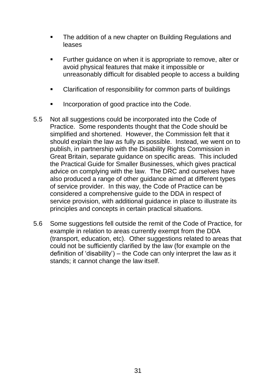- The addition of a new chapter on Building Regulations and leases
- **Further quidance on when it is appropriate to remove, alter or** avoid physical features that make it impossible or unreasonably difficult for disabled people to access a building
- Clarification of responsibility for common parts of buildings
- Incorporation of good practice into the Code.
- 5.5 Not all suggestions could be incorporated into the Code of Practice. Some respondents thought that the Code should be simplified and shortened. However, the Commission felt that it should explain the law as fully as possible. Instead, we went on to publish, in partnership with the Disability Rights Commission in Great Britain, separate guidance on specific areas. This included the Practical Guide for Smaller Businesses, which gives practical advice on complying with the law. The DRC and ourselves have also produced a range of other guidance aimed at different types of service provider. In this way, the Code of Practice can be considered a comprehensive guide to the DDA in respect of service provision, with additional guidance in place to illustrate its principles and concepts in certain practical situations.
- 5.6 Some suggestions fell outside the remit of the Code of Practice, for example in relation to areas currently exempt from the DDA (transport, education, etc). Other suggestions related to areas that could not be sufficiently clarified by the law (for example on the definition of 'disability') – the Code can only interpret the law as it stands; it cannot change the law itself.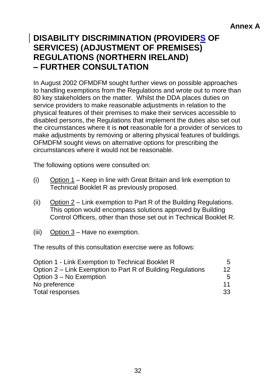### **DISABILITY DISCRIMINATION (PROVIDERS OF SERVICES) (ADJUSTMENT OF PREMISES) REGULATIONS (NORTHERN IRELAND) – FURTHER CONSULTATION**

In August 2002 OFMDFM sought further views on possible approaches to handling exemptions from the Regulations and wrote out to more than 80 key stakeholders on the matter. Whilst the DDA places duties on service providers to make reasonable adjustments in relation to the physical features of their premises to make their services accessible to disabled persons, the Regulations that implement the duties also set out the circumstances where it is **not** reasonable for a provider of services to make adjustments by removing or altering physical features of buildings. OFMDFM sought views on alternative options for prescribing the circumstances where it would not be reasonable.

The following options were consulted on:

- (i) Option  $1 -$  Keep in line with Great Britain and link exemption to Technical Booklet R as previously proposed.
- (ii) Option 2 Link exemption to Part R of the Building Regulations. This option would encompass solutions approved by Building Control Officers, other than those set out in Technical Booklet R.
- (iii) Option 3 Have no exemption.

The results of this consultation exercise were as follows:

| Option 1 - Link Exemption to Technical Booklet R            | 5               |
|-------------------------------------------------------------|-----------------|
| Option 2 – Link Exemption to Part R of Building Regulations | $12 \ \mathrm{$ |
| Option 3 – No Exemption                                     | $5^{\circ}$     |
| No preference                                               | 11              |
| Total responses                                             | 33              |